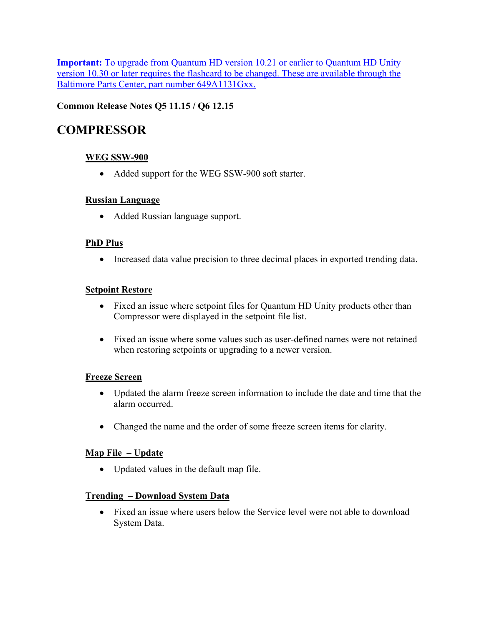**Important:** To upgrade from Quantum HD version 10.21 or earlier to Quantum HD Unity version 10.30 or later requires the flashcard to be changed. These are available through the Baltimore Parts Center, part number 649A1131Gxx.

# **Common Release Notes Q5 11.15 / Q6 12.15**

# **COMPRESSOR**

# **WEG SSW-900**

• Added support for the WEG SSW-900 soft starter.

### **Russian Language**

• Added Russian language support.

### **PhD Plus**

• Increased data value precision to three decimal places in exported trending data.

### **Setpoint Restore**

- Fixed an issue where setpoint files for Quantum HD Unity products other than Compressor were displayed in the setpoint file list.
- Fixed an issue where some values such as user-defined names were not retained when restoring setpoints or upgrading to a newer version.

### **Freeze Screen**

- Updated the alarm freeze screen information to include the date and time that the alarm occurred.
- Changed the name and the order of some freeze screen items for clarity.

# **Map File – Update**

• Updated values in the default map file.

### **Trending – Download System Data**

• Fixed an issue where users below the Service level were not able to download System Data.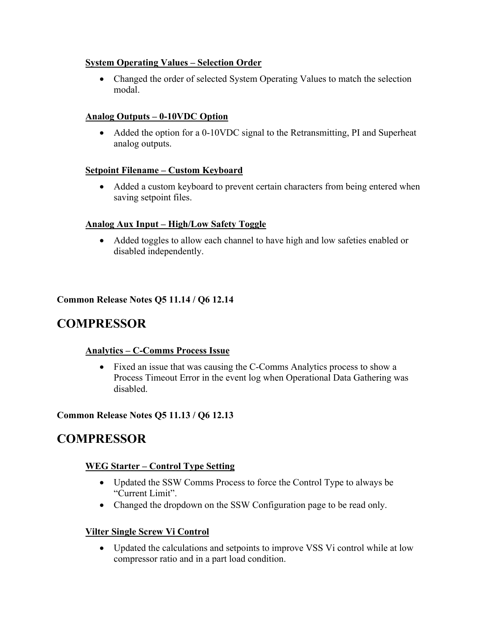### **System Operating Values – Selection Order**

• Changed the order of selected System Operating Values to match the selection modal.

# **Analog Outputs – 0-10VDC Option**

• Added the option for a 0-10VDC signal to the Retransmitting, PI and Superheat analog outputs.

# **Setpoint Filename – Custom Keyboard**

• Added a custom keyboard to prevent certain characters from being entered when saving setpoint files.

# **Analog Aux Input – High/Low Safety Toggle**

• Added toggles to allow each channel to have high and low safeties enabled or disabled independently.

# **Common Release Notes Q5 11.14 / Q6 12.14**

# **COMPRESSOR**

# **Analytics – C-Comms Process Issue**

• Fixed an issue that was causing the C-Comms Analytics process to show a Process Timeout Error in the event log when Operational Data Gathering was disabled.

# **Common Release Notes Q5 11.13 / Q6 12.13**

# **COMPRESSOR**

# **WEG Starter – Control Type Setting**

- Updated the SSW Comms Process to force the Control Type to always be "Current Limit".
- Changed the dropdown on the SSW Configuration page to be read only.

# **Vilter Single Screw Vi Control**

• Updated the calculations and setpoints to improve VSS Vi control while at low compressor ratio and in a part load condition.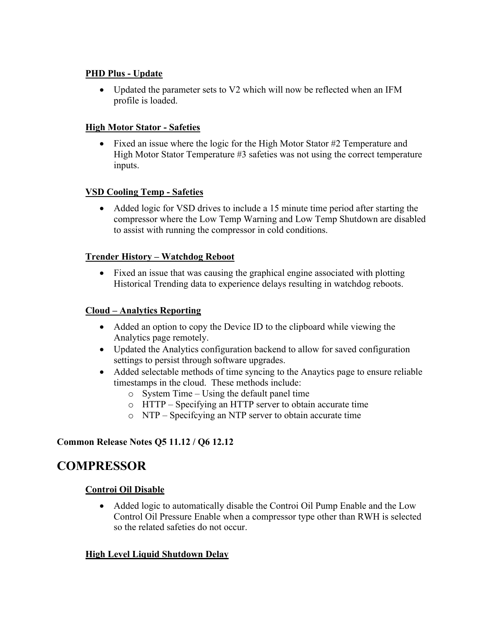### **PHD Plus - Update**

• Updated the parameter sets to V2 which will now be reflected when an IFM profile is loaded.

#### **High Motor Stator - Safeties**

• Fixed an issue where the logic for the High Motor Stator #2 Temperature and High Motor Stator Temperature #3 safeties was not using the correct temperature inputs.

### **VSD Cooling Temp - Safeties**

• Added logic for VSD drives to include a 15 minute time period after starting the compressor where the Low Temp Warning and Low Temp Shutdown are disabled to assist with running the compressor in cold conditions.

#### **Trender History – Watchdog Reboot**

• Fixed an issue that was causing the graphical engine associated with plotting Historical Trending data to experience delays resulting in watchdog reboots.

#### **Cloud – Analytics Reporting**

- Added an option to copy the Device ID to the clipboard while viewing the Analytics page remotely.
- Updated the Analytics configuration backend to allow for saved configuration settings to persist through software upgrades.
- Added selectable methods of time syncing to the Anaytics page to ensure reliable timestamps in the cloud. These methods include:
	- o System Time Using the default panel time
	- o HTTP Specifying an HTTP server to obtain accurate time
	- o NTP Specifcying an NTP server to obtain accurate time

### **Common Release Notes Q5 11.12 / Q6 12.12**

# **COMPRESSOR**

### **Controi Oil Disable**

• Added logic to automatically disable the Controi Oil Pump Enable and the Low Control Oil Pressure Enable when a compressor type other than RWH is selected so the related safeties do not occur.

### **High Level Liquid Shutdown Delay**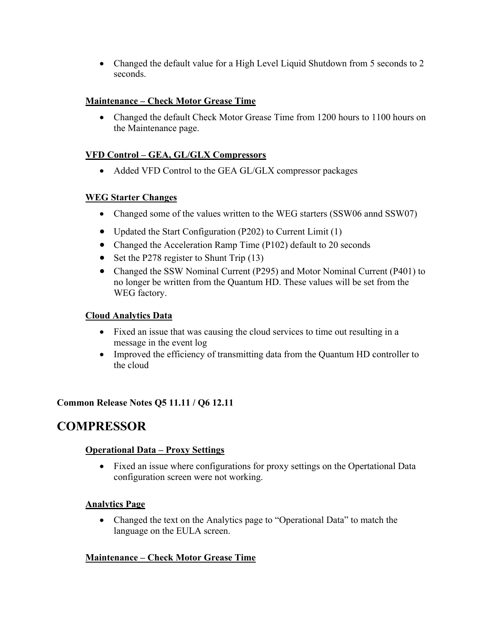• Changed the default value for a High Level Liquid Shutdown from 5 seconds to 2 seconds.

# **Maintenance – Check Motor Grease Time**

• Changed the default Check Motor Grease Time from 1200 hours to 1100 hours on the Maintenance page.

# **VFD Control – GEA, GL/GLX Compressors**

• Added VFD Control to the GEA GL/GLX compressor packages

### **WEG Starter Changes**

- Changed some of the values written to the WEG starters (SSW06 annd SSW07)
- Updated the Start Configuration (P202) to Current Limit (1)
- Changed the Acceleration Ramp Time (P102) default to 20 seconds
- Set the P278 register to Shunt Trip (13)
- Changed the SSW Nominal Current (P295) and Motor Nominal Current (P401) to no longer be written from the Quantum HD. These values will be set from the WEG factory.

# **Cloud Analytics Data**

- Fixed an issue that was causing the cloud services to time out resulting in a message in the event log
- Improved the efficiency of transmitting data from the Quantum HD controller to the cloud

### **Common Release Notes Q5 11.11 / Q6 12.11**

# **COMPRESSOR**

### **Operational Data – Proxy Settings**

• Fixed an issue where configurations for proxy settings on the Opertational Data configuration screen were not working.

### **Analytics Page**

• Changed the text on the Analytics page to "Operational Data" to match the language on the EULA screen.

# **Maintenance – Check Motor Grease Time**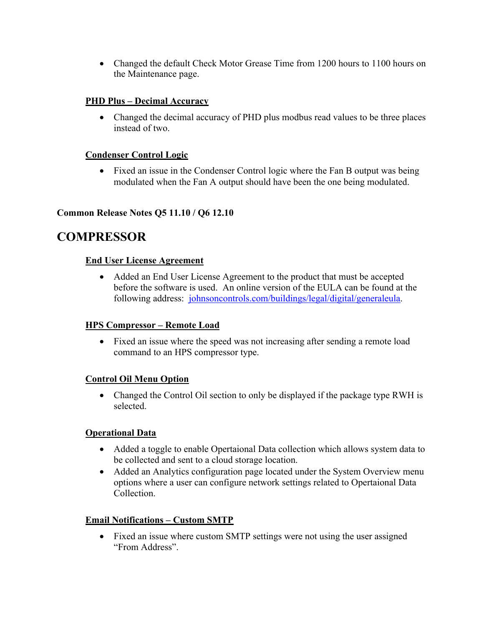• Changed the default Check Motor Grease Time from 1200 hours to 1100 hours on the Maintenance page.

# **PHD Plus – Decimal Accuracy**

• Changed the decimal accuracy of PHD plus modbus read values to be three places instead of two.

## **Condenser Control Logic**

• Fixed an issue in the Condenser Control logic where the Fan B output was being modulated when the Fan A output should have been the one being modulated.

### **Common Release Notes Q5 11.10 / Q6 12.10**

# **COMPRESSOR**

# **End User License Agreement**

• Added an End User License Agreement to the product that must be accepted before the software is used. An online version of the EULA can be found at the following address: johnsoncontrols.com/buildings/legal/digital/generaleula.

### **HPS Compressor – Remote Load**

• Fixed an issue where the speed was not increasing after sending a remote load command to an HPS compressor type.

### **Control Oil Menu Option**

• Changed the Control Oil section to only be displayed if the package type RWH is selected.

# **Operational Data**

- Added a toggle to enable Opertaional Data collection which allows system data to be collected and sent to a cloud storage location.
- Added an Analytics configuration page located under the System Overview menu options where a user can configure network settings related to Opertaional Data Collection.

# **Email Notifications – Custom SMTP**

• Fixed an issue where custom SMTP settings were not using the user assigned "From Address".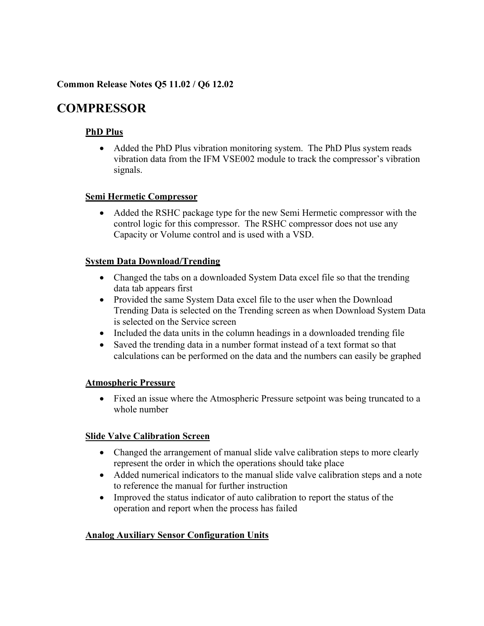### **Common Release Notes Q5 11.02 / Q6 12.02**

# **COMPRESSOR**

# **PhD Plus**

• Added the PhD Plus vibration monitoring system. The PhD Plus system reads vibration data from the IFM VSE002 module to track the compressor's vibration signals.

### **Semi Hermetic Compressor**

• Added the RSHC package type for the new Semi Hermetic compressor with the control logic for this compressor. The RSHC compressor does not use any Capacity or Volume control and is used with a VSD.

### **System Data Download/Trending**

- Changed the tabs on a downloaded System Data excel file so that the trending data tab appears first
- Provided the same System Data excel file to the user when the Download Trending Data is selected on the Trending screen as when Download System Data is selected on the Service screen
- Included the data units in the column headings in a downloaded trending file
- Saved the trending data in a number format instead of a text format so that calculations can be performed on the data and the numbers can easily be graphed

### **Atmospheric Pressure**

• Fixed an issue where the Atmospheric Pressure setpoint was being truncated to a whole number

# **Slide Valve Calibration Screen**

- Changed the arrangement of manual slide valve calibration steps to more clearly represent the order in which the operations should take place
- Added numerical indicators to the manual slide valve calibration steps and a note to reference the manual for further instruction
- Improved the status indicator of auto calibration to report the status of the operation and report when the process has failed

# **Analog Auxiliary Sensor Configuration Units**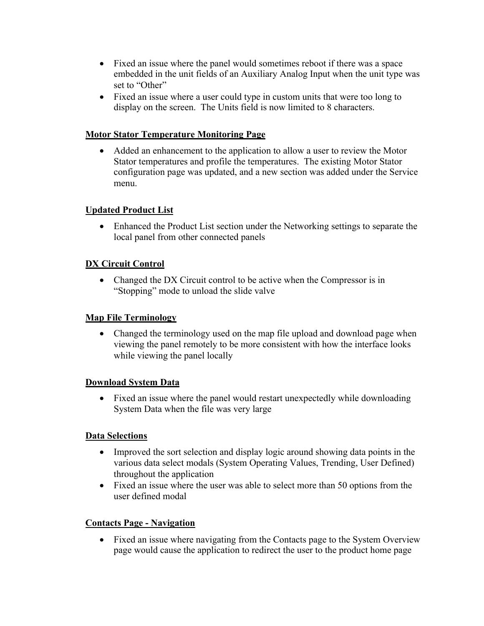- Fixed an issue where the panel would sometimes reboot if there was a space embedded in the unit fields of an Auxiliary Analog Input when the unit type was set to "Other"
- Fixed an issue where a user could type in custom units that were too long to display on the screen. The Units field is now limited to 8 characters.

# **Motor Stator Temperature Monitoring Page**

• Added an enhancement to the application to allow a user to review the Motor Stator temperatures and profile the temperatures. The existing Motor Stator configuration page was updated, and a new section was added under the Service menu.

### **Updated Product List**

• Enhanced the Product List section under the Networking settings to separate the local panel from other connected panels

### **DX Circuit Control**

• Changed the DX Circuit control to be active when the Compressor is in "Stopping" mode to unload the slide valve

### **Map File Terminology**

• Changed the terminology used on the map file upload and download page when viewing the panel remotely to be more consistent with how the interface looks while viewing the panel locally

### **Download System Data**

• Fixed an issue where the panel would restart unexpectedly while downloading System Data when the file was very large

### **Data Selections**

- Improved the sort selection and display logic around showing data points in the various data select modals (System Operating Values, Trending, User Defined) throughout the application
- Fixed an issue where the user was able to select more than 50 options from the user defined modal

### **Contacts Page - Navigation**

• Fixed an issue where navigating from the Contacts page to the System Overview page would cause the application to redirect the user to the product home page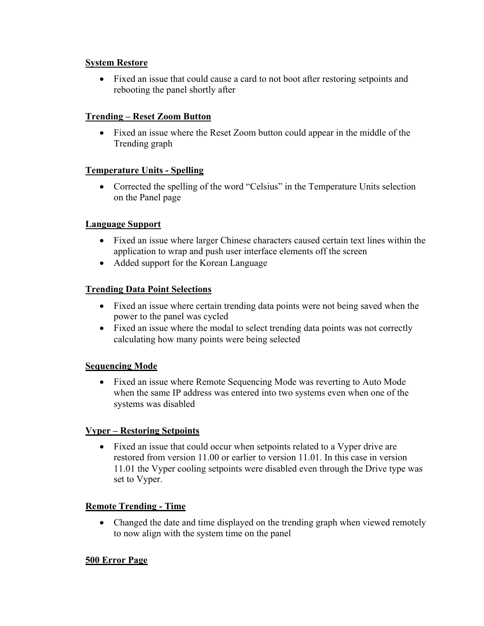### **System Restore**

• Fixed an issue that could cause a card to not boot after restoring setpoints and rebooting the panel shortly after

### **Trending – Reset Zoom Button**

• Fixed an issue where the Reset Zoom button could appear in the middle of the Trending graph

### **Temperature Units - Spelling**

• Corrected the spelling of the word "Celsius" in the Temperature Units selection on the Panel page

### **Language Support**

- Fixed an issue where larger Chinese characters caused certain text lines within the application to wrap and push user interface elements off the screen
- Added support for the Korean Language

### **Trending Data Point Selections**

- Fixed an issue where certain trending data points were not being saved when the power to the panel was cycled
- Fixed an issue where the modal to select trending data points was not correctly calculating how many points were being selected

### **Sequencing Mode**

• Fixed an issue where Remote Sequencing Mode was reverting to Auto Mode when the same IP address was entered into two systems even when one of the systems was disabled

### **Vyper – Restoring Setpoints**

• Fixed an issue that could occur when setpoints related to a Vyper drive are restored from version 11.00 or earlier to version 11.01. In this case in version 11.01 the Vyper cooling setpoints were disabled even through the Drive type was set to Vyper.

### **Remote Trending - Time**

• Changed the date and time displayed on the trending graph when viewed remotely to now align with the system time on the panel

### **500 Error Page**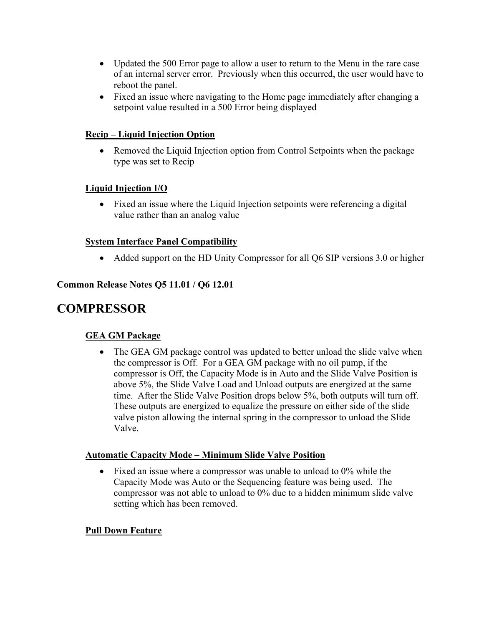- Updated the 500 Error page to allow a user to return to the Menu in the rare case of an internal server error. Previously when this occurred, the user would have to reboot the panel.
- Fixed an issue where navigating to the Home page immediately after changing a setpoint value resulted in a 500 Error being displayed

# **Recip – Liquid Injection Option**

• Removed the Liquid Injection option from Control Setpoints when the package type was set to Recip

# **Liquid Injection I/O**

• Fixed an issue where the Liquid Injection setpoints were referencing a digital value rather than an analog value

### **System Interface Panel Compatibility**

• Added support on the HD Unity Compressor for all Q6 SIP versions 3.0 or higher

### **Common Release Notes Q5 11.01 / Q6 12.01**

# **COMPRESSOR**

### **GEA GM Package**

• The GEA GM package control was updated to better unload the slide valve when the compressor is Off. For a GEA GM package with no oil pump, if the compressor is Off, the Capacity Mode is in Auto and the Slide Valve Position is above 5%, the Slide Valve Load and Unload outputs are energized at the same time. After the Slide Valve Position drops below 5%, both outputs will turn off. These outputs are energized to equalize the pressure on either side of the slide valve piston allowing the internal spring in the compressor to unload the Slide Valve.

### **Automatic Capacity Mode – Minimum Slide Valve Position**

• Fixed an issue where a compressor was unable to unload to  $0\%$  while the Capacity Mode was Auto or the Sequencing feature was being used. The compressor was not able to unload to 0% due to a hidden minimum slide valve setting which has been removed.

### **Pull Down Feature**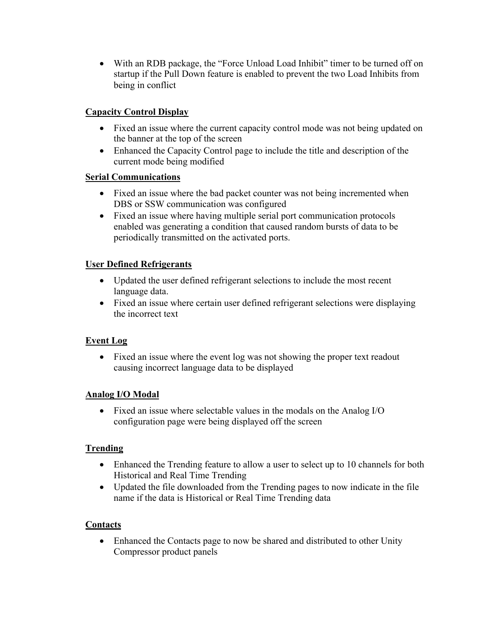• With an RDB package, the "Force Unload Load Inhibit" timer to be turned off on startup if the Pull Down feature is enabled to prevent the two Load Inhibits from being in conflict

# **Capacity Control Display**

- Fixed an issue where the current capacity control mode was not being updated on the banner at the top of the screen
- Enhanced the Capacity Control page to include the title and description of the current mode being modified

### **Serial Communications**

- Fixed an issue where the bad packet counter was not being incremented when DBS or SSW communication was configured
- Fixed an issue where having multiple serial port communication protocols enabled was generating a condition that caused random bursts of data to be periodically transmitted on the activated ports.

# **User Defined Refrigerants**

- Updated the user defined refrigerant selections to include the most recent language data.
- Fixed an issue where certain user defined refrigerant selections were displaying the incorrect text

# **Event Log**

• Fixed an issue where the event log was not showing the proper text readout causing incorrect language data to be displayed

# **Analog I/O Modal**

• Fixed an issue where selectable values in the modals on the Analog I/O configuration page were being displayed off the screen

### **Trending**

- Enhanced the Trending feature to allow a user to select up to 10 channels for both Historical and Real Time Trending
- Updated the file downloaded from the Trending pages to now indicate in the file name if the data is Historical or Real Time Trending data

### **Contacts**

• Enhanced the Contacts page to now be shared and distributed to other Unity Compressor product panels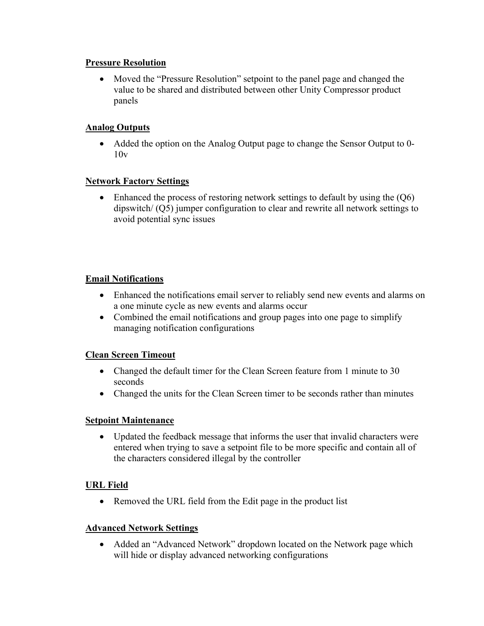#### **Pressure Resolution**

• Moved the "Pressure Resolution" setpoint to the panel page and changed the value to be shared and distributed between other Unity Compressor product panels

### **Analog Outputs**

• Added the option on the Analog Output page to change the Sensor Output to 0- $10v$ 

### **Network Factory Settings**

• Enhanced the process of restoring network settings to default by using the (Q6) dipswitch/ (Q5) jumper configuration to clear and rewrite all network settings to avoid potential sync issues

### **Email Notifications**

- Enhanced the notifications email server to reliably send new events and alarms on a one minute cycle as new events and alarms occur
- Combined the email notifications and group pages into one page to simplify managing notification configurations

### **Clean Screen Timeout**

- Changed the default timer for the Clean Screen feature from 1 minute to 30 seconds
- Changed the units for the Clean Screen timer to be seconds rather than minutes

### **Setpoint Maintenance**

• Updated the feedback message that informs the user that invalid characters were entered when trying to save a setpoint file to be more specific and contain all of the characters considered illegal by the controller

### **URL Field**

• Removed the URL field from the Edit page in the product list

### **Advanced Network Settings**

• Added an "Advanced Network" dropdown located on the Network page which will hide or display advanced networking configurations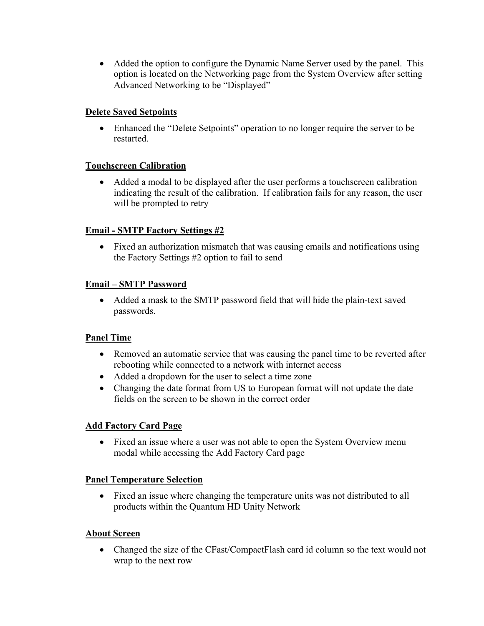• Added the option to configure the Dynamic Name Server used by the panel. This option is located on the Networking page from the System Overview after setting Advanced Networking to be "Displayed"

### **Delete Saved Setpoints**

• Enhanced the "Delete Setpoints" operation to no longer require the server to be restarted.

### **Touchscreen Calibration**

• Added a modal to be displayed after the user performs a touchscreen calibration indicating the result of the calibration. If calibration fails for any reason, the user will be prompted to retry

### **Email - SMTP Factory Settings #2**

• Fixed an authorization mismatch that was causing emails and notifications using the Factory Settings #2 option to fail to send

### **Email – SMTP Password**

• Added a mask to the SMTP password field that will hide the plain-text saved passwords.

### **Panel Time**

- Removed an automatic service that was causing the panel time to be reverted after rebooting while connected to a network with internet access
- Added a dropdown for the user to select a time zone
- Changing the date format from US to European format will not update the date fields on the screen to be shown in the correct order

### **Add Factory Card Page**

• Fixed an issue where a user was not able to open the System Overview menu modal while accessing the Add Factory Card page

### **Panel Temperature Selection**

• Fixed an issue where changing the temperature units was not distributed to all products within the Quantum HD Unity Network

### **About Screen**

• Changed the size of the CFast/CompactFlash card id column so the text would not wrap to the next row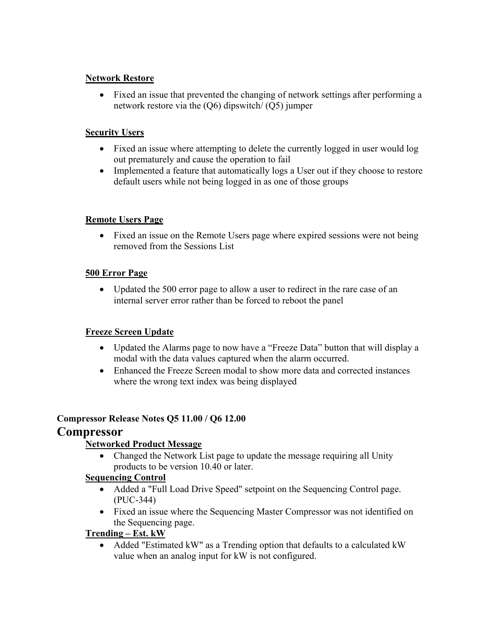### **Network Restore**

• Fixed an issue that prevented the changing of network settings after performing a network restore via the (Q6) dipswitch/ (Q5) jumper

### **Security Users**

- Fixed an issue where attempting to delete the currently logged in user would log out prematurely and cause the operation to fail
- Implemented a feature that automatically logs a User out if they choose to restore default users while not being logged in as one of those groups

### **Remote Users Page**

• Fixed an issue on the Remote Users page where expired sessions were not being removed from the Sessions List

### **500 Error Page**

• Updated the 500 error page to allow a user to redirect in the rare case of an internal server error rather than be forced to reboot the panel

### **Freeze Screen Update**

- Updated the Alarms page to now have a "Freeze Data" button that will display a modal with the data values captured when the alarm occurred.
- Enhanced the Freeze Screen modal to show more data and corrected instances where the wrong text index was being displayed

### **Compressor Release Notes Q5 11.00 / Q6 12.00**

# **Compressor**

# **Networked Product Message**

• Changed the Network List page to update the message requiring all Unity products to be version 10.40 or later.

### **Sequencing Control**

- Added a "Full Load Drive Speed" setpoint on the Sequencing Control page. (PUC-344)
- Fixed an issue where the Sequencing Master Compressor was not identified on the Sequencing page.

### **Trending – Est. kW**

• Added "Estimated kW" as a Trending option that defaults to a calculated kW value when an analog input for kW is not configured.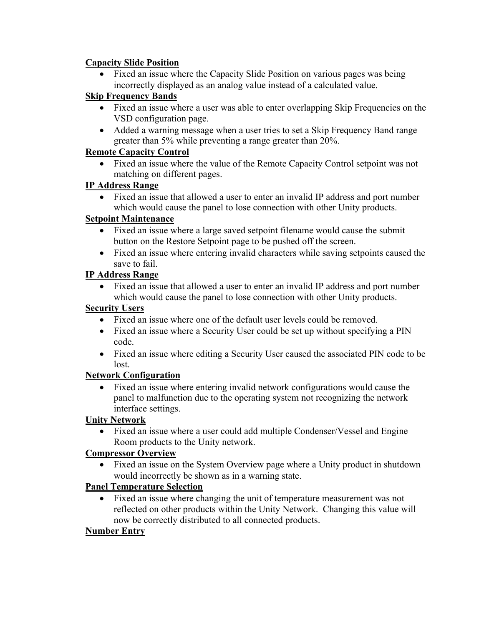### **Capacity Slide Position**

• Fixed an issue where the Capacity Slide Position on various pages was being incorrectly displayed as an analog value instead of a calculated value.

# **Skip Frequency Bands**

- Fixed an issue where a user was able to enter overlapping Skip Frequencies on the VSD configuration page.
- Added a warning message when a user tries to set a Skip Frequency Band range greater than 5% while preventing a range greater than 20%.

### **Remote Capacity Control**

• Fixed an issue where the value of the Remote Capacity Control setpoint was not matching on different pages.

### **IP Address Range**

• Fixed an issue that allowed a user to enter an invalid IP address and port number which would cause the panel to lose connection with other Unity products.

### **Setpoint Maintenance**

- Fixed an issue where a large saved setpoint filename would cause the submit button on the Restore Setpoint page to be pushed off the screen.
- Fixed an issue where entering invalid characters while saving setpoints caused the save to fail.

### **IP Address Range**

• Fixed an issue that allowed a user to enter an invalid IP address and port number which would cause the panel to lose connection with other Unity products.

### **Security Users**

- Fixed an issue where one of the default user levels could be removed.
- Fixed an issue where a Security User could be set up without specifying a PIN code.
- Fixed an issue where editing a Security User caused the associated PIN code to be lost.

# **Network Configuration**

• Fixed an issue where entering invalid network configurations would cause the panel to malfunction due to the operating system not recognizing the network interface settings.

# **Unity Network**

• Fixed an issue where a user could add multiple Condenser/Vessel and Engine Room products to the Unity network.

# **Compressor Overview**

• Fixed an issue on the System Overview page where a Unity product in shutdown would incorrectly be shown as in a warning state.

# **Panel Temperature Selection**

• Fixed an issue where changing the unit of temperature measurement was not reflected on other products within the Unity Network. Changing this value will now be correctly distributed to all connected products.

# **Number Entry**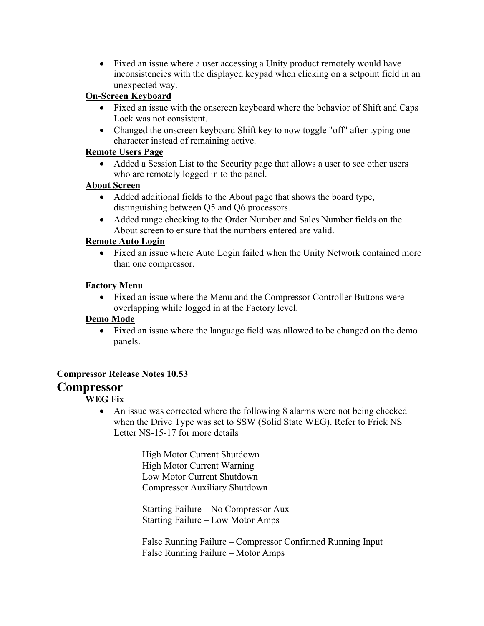• Fixed an issue where a user accessing a Unity product remotely would have inconsistencies with the displayed keypad when clicking on a setpoint field in an unexpected way.

# **On-Screen Keyboard**

- Fixed an issue with the onscreen keyboard where the behavior of Shift and Caps Lock was not consistent.
- Changed the onscreen keyboard Shift key to now toggle "off" after typing one character instead of remaining active.

### **Remote Users Page**

• Added a Session List to the Security page that allows a user to see other users who are remotely logged in to the panel.

### **About Screen**

- Added additional fields to the About page that shows the board type, distinguishing between Q5 and Q6 processors.
- Added range checking to the Order Number and Sales Number fields on the About screen to ensure that the numbers entered are valid.

#### **Remote Auto Login**

• Fixed an issue where Auto Login failed when the Unity Network contained more than one compressor.

#### **Factory Menu**

• Fixed an issue where the Menu and the Compressor Controller Buttons were overlapping while logged in at the Factory level.

#### **Demo Mode**

• Fixed an issue where the language field was allowed to be changed on the demo panels.

### **Compressor Release Notes 10.53**

# **Compressor**

### **WEG Fix**

• An issue was corrected where the following 8 alarms were not being checked when the Drive Type was set to SSW (Solid State WEG). Refer to Frick NS Letter NS-15-17 for more details

> High Motor Current Shutdown High Motor Current Warning Low Motor Current Shutdown Compressor Auxiliary Shutdown

Starting Failure – No Compressor Aux Starting Failure – Low Motor Amps

False Running Failure – Compressor Confirmed Running Input False Running Failure – Motor Amps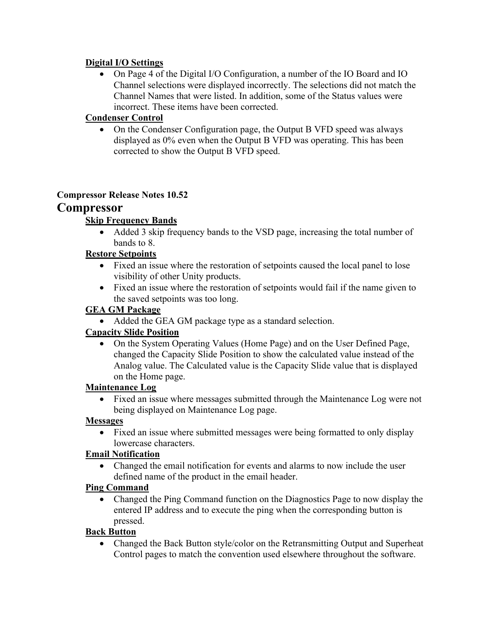### **Digital I/O Settings**

• On Page 4 of the Digital I/O Configuration, a number of the IO Board and IO Channel selections were displayed incorrectly. The selections did not match the Channel Names that were listed. In addition, some of the Status values were incorrect. These items have been corrected.

# **Condenser Control**

• On the Condenser Configuration page, the Output B VFD speed was always displayed as 0% even when the Output B VFD was operating. This has been corrected to show the Output B VFD speed.

### **Compressor Release Notes 10.52**

# **Compressor**

### **Skip Frequency Bands**

• Added 3 skip frequency bands to the VSD page, increasing the total number of bands to 8.

### **Restore Setpoints**

- Fixed an issue where the restoration of setpoints caused the local panel to lose visibility of other Unity products.
- Fixed an issue where the restoration of setpoints would fail if the name given to the saved setpoints was too long.

### **GEA GM Package**

• Added the GEA GM package type as a standard selection.

### **Capacity Slide Position**

• On the System Operating Values (Home Page) and on the User Defined Page, changed the Capacity Slide Position to show the calculated value instead of the Analog value. The Calculated value is the Capacity Slide value that is displayed on the Home page.

### **Maintenance Log**

• Fixed an issue where messages submitted through the Maintenance Log were not being displayed on Maintenance Log page.

### **Messages**

• Fixed an issue where submitted messages were being formatted to only display lowercase characters.

### **Email Notification**

• Changed the email notification for events and alarms to now include the user defined name of the product in the email header.

### **Ping Command**

• Changed the Ping Command function on the Diagnostics Page to now display the entered IP address and to execute the ping when the corresponding button is pressed.

# **Back Button**

• Changed the Back Button style/color on the Retransmitting Output and Superheat Control pages to match the convention used elsewhere throughout the software.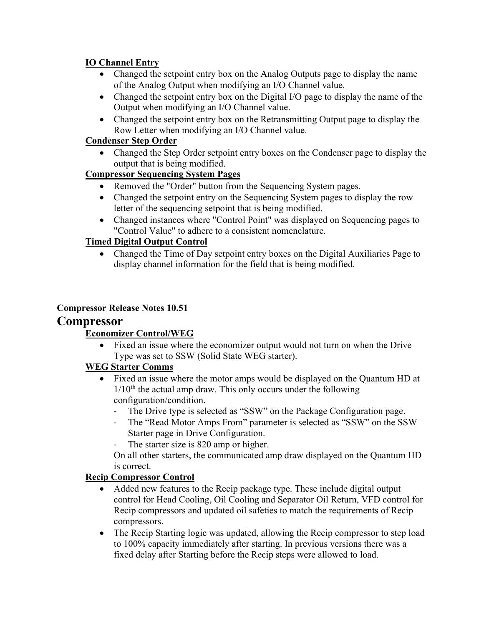# **IO Channel Entry**

- Changed the setpoint entry box on the Analog Outputs page to display the name of the Analog Output when modifying an I/O Channel value.
- Changed the setpoint entry box on the Digital I/O page to display the name of the Output when modifying an I/O Channel value.
- Changed the setpoint entry box on the Retransmitting Output page to display the Row Letter when modifying an I/O Channel value.

# **Condenser Step Order**

• Changed the Step Order setpoint entry boxes on the Condenser page to display the output that is being modified.

# **Compressor Sequencing System Pages**

- Removed the "Order" button from the Sequencing System pages.
- Changed the setpoint entry on the Sequencing System pages to display the row letter of the sequencing setpoint that is being modified.
- Changed instances where "Control Point" was displayed on Sequencing pages to "Control Value" to adhere to a consistent nomenclature.

# **Timed Digital Output Control**

• Changed the Time of Day setpoint entry boxes on the Digital Auxiliaries Page to display channel information for the field that is being modified.

# **Compressor Release Notes 10.51**

# **Compressor**

# **Economizer Control/WEG**

• Fixed an issue where the economizer output would not turn on when the Drive Type was set to SSW (Solid State WEG starter).

# **WEG Starter Comms**

- Fixed an issue where the motor amps would be displayed on the Quantum HD at  $1/10<sup>th</sup>$  the actual amp draw. This only occurs under the following configuration/condition.
	- The Drive type is selected as "SSW" on the Package Configuration page.<br>- The "Read Motor Amps From" parameter is selected as "SSW" on the SS
	- The "Read Motor Amps From" parameter is selected as "SSW" on the SSW Starter page in Drive Configuration.
	- The starter size is 820 amp or higher.

On all other starters, the communicated amp draw displayed on the Quantum HD is correct.

# **Recip Compressor Control**

- Added new features to the Recip package type. These include digital output control for Head Cooling, Oil Cooling and Separator Oil Return, VFD control for Recip compressors and updated oil safeties to match the requirements of Recip compressors.
- The Recip Starting logic was updated, allowing the Recip compressor to step load to 100% capacity immediately after starting. In previous versions there was a fixed delay after Starting before the Recip steps were allowed to load.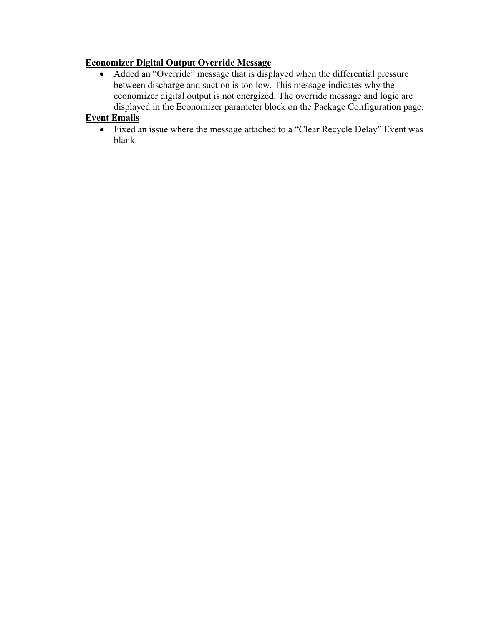# **Economizer Digital Output Override Message**

• Added an "Override" message that is displayed when the differential pressure between discharge and suction is too low. This message indicates why the economizer digital output is not energized. The override message and logic are displayed in the Economizer parameter block on the Package Configuration page.

# **Event Emails**

• Fixed an issue where the message attached to a "Clear Recycle Delay" Event was blank.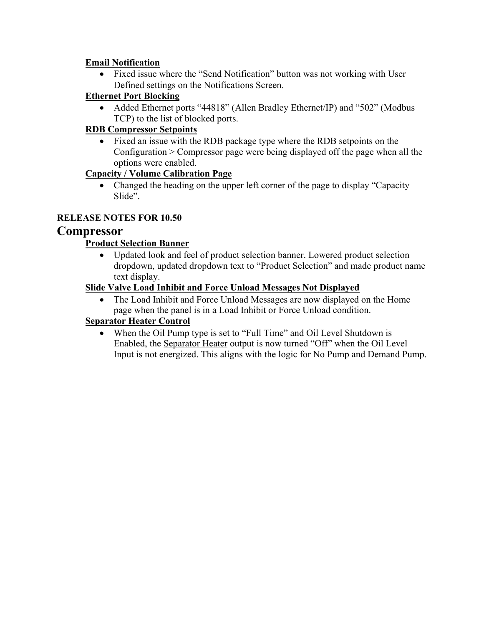# **Email Notification**

• Fixed issue where the "Send Notification" button was not working with User Defined settings on the Notifications Screen.

# **Ethernet Port Blocking**

• Added Ethernet ports "44818" (Allen Bradley Ethernet/IP) and "502" (Modbus TCP) to the list of blocked ports.

# **RDB Compressor Setpoints**

• Fixed an issue with the RDB package type where the RDB setpoints on the Configuration > Compressor page were being displayed off the page when all the options were enabled.

# **Capacity / Volume Calibration Page**

• Changed the heading on the upper left corner of the page to display "Capacity" Slide".

# **RELEASE NOTES FOR 10.50**

# **Compressor**

# **Product Selection Banner**

• Updated look and feel of product selection banner. Lowered product selection dropdown, updated dropdown text to "Product Selection" and made product name text display.

### **Slide Valve Load Inhibit and Force Unload Messages Not Displayed**

The Load Inhibit and Force Unload Messages are now displayed on the Home page when the panel is in a Load Inhibit or Force Unload condition.

# **Separator Heater Control**

When the Oil Pump type is set to "Full Time" and Oil Level Shutdown is Enabled, the Separator Heater output is now turned "Off" when the Oil Level Input is not energized. This aligns with the logic for No Pump and Demand Pump.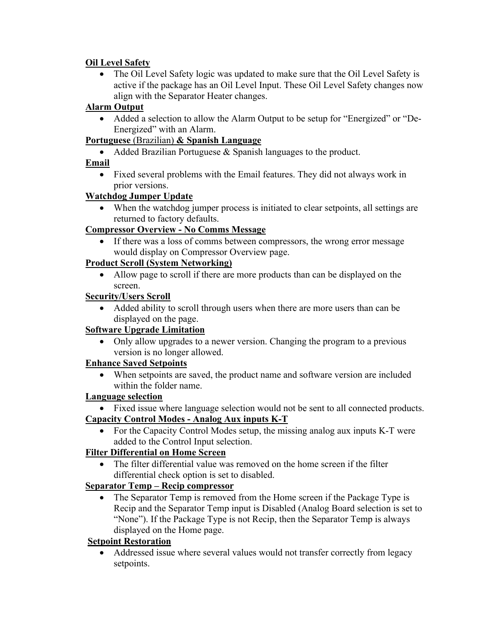# **Oil Level Safety**

The Oil Level Safety logic was updated to make sure that the Oil Level Safety is active if the package has an Oil Level Input. These Oil Level Safety changes now align with the Separator Heater changes.

# **Alarm Output**

• Added a selection to allow the Alarm Output to be setup for "Energized" or "De-Energized" with an Alarm.

# **Portuguese** (Brazilian) **& Spanish Language**

• Added Brazilian Portuguese & Spanish languages to the product.

# **Email**

• Fixed several problems with the Email features. They did not always work in prior versions.

### **Watchdog Jumper Update**

• When the watchdog jumper process is initiated to clear setpoints, all settings are returned to factory defaults.

# **Compressor Overview - No Comms Message**

If there was a loss of comms between compressors, the wrong error message would display on Compressor Overview page.

# **Product Scroll (System Networking)**

• Allow page to scroll if there are more products than can be displayed on the screen.

# **Security/Users Scroll**

• Added ability to scroll through users when there are more users than can be displayed on the page.

# **Software Upgrade Limitation**

• Only allow upgrades to a newer version. Changing the program to a previous version is no longer allowed.

# **Enhance Saved Setpoints**

When setpoints are saved, the product name and software version are included within the folder name.

# **Language selection**

- Fixed issue where language selection would not be sent to all connected products. **Capacity Control Modes - Analog Aux inputs K-T**
	- For the Capacity Control Modes setup, the missing analog aux inputs K-T were added to the Control Input selection.

# **Filter Differential on Home Screen**

• The filter differential value was removed on the home screen if the filter differential check option is set to disabled.

# **Separator Temp – Recip compressor**

• The Separator Temp is removed from the Home screen if the Package Type is Recip and the Separator Temp input is Disabled (Analog Board selection is set to "None"). If the Package Type is not Recip, then the Separator Temp is always displayed on the Home page.

# **Setpoint Restoration**

• Addressed issue where several values would not transfer correctly from legacy setpoints.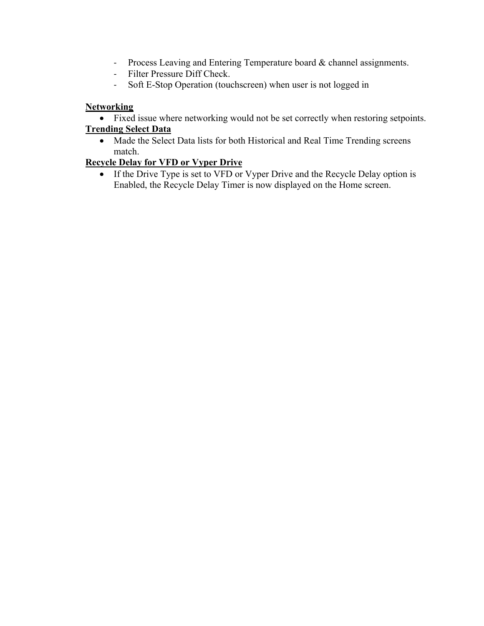- Process Leaving and Entering Temperature board & channel assignments.
- Filter Pressure Diff Check.
- Soft E-Stop Operation (touchscreen) when user is not logged in

### **Networking**

• Fixed issue where networking would not be set correctly when restoring setpoints.

### **Trending Select Data**

• Made the Select Data lists for both Historical and Real Time Trending screens match.

# **Recycle Delay for VFD or Vyper Drive**

• If the Drive Type is set to VFD or Vyper Drive and the Recycle Delay option is Enabled, the Recycle Delay Timer is now displayed on the Home screen.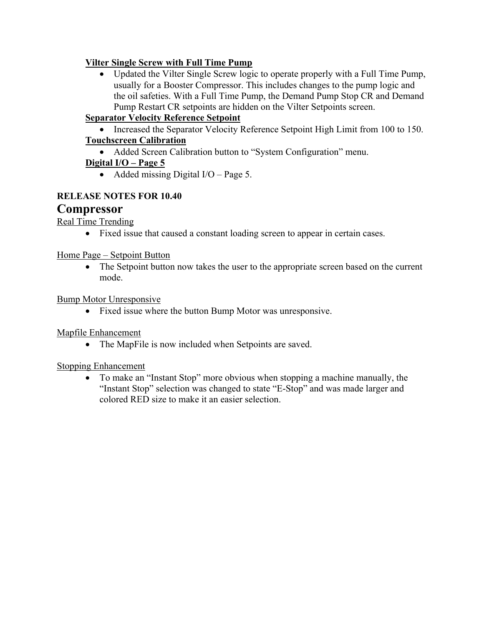### **Vilter Single Screw with Full Time Pump**

• Updated the Vilter Single Screw logic to operate properly with a Full Time Pump, usually for a Booster Compressor. This includes changes to the pump logic and the oil safeties. With a Full Time Pump, the Demand Pump Stop CR and Demand Pump Restart CR setpoints are hidden on the Vilter Setpoints screen.

# **Separator Velocity Reference Setpoint**

• Increased the Separator Velocity Reference Setpoint High Limit from 100 to 150. **Touchscreen Calibration**

• Added Screen Calibration button to "System Configuration" menu.

# **Digital I/O – Page 5**

• Added missing Digital I/O – Page 5.

### **RELEASE NOTES FOR 10.40**

# **Compressor**

Real Time Trending

• Fixed issue that caused a constant loading screen to appear in certain cases.

Home Page – Setpoint Button

• The Setpoint button now takes the user to the appropriate screen based on the current mode.

Bump Motor Unresponsive

• Fixed issue where the button Bump Motor was unresponsive.

### Mapfile Enhancement

• The MapFile is now included when Setpoints are saved.

### Stopping Enhancement

• To make an "Instant Stop" more obvious when stopping a machine manually, the "Instant Stop" selection was changed to state "E-Stop" and was made larger and colored RED size to make it an easier selection.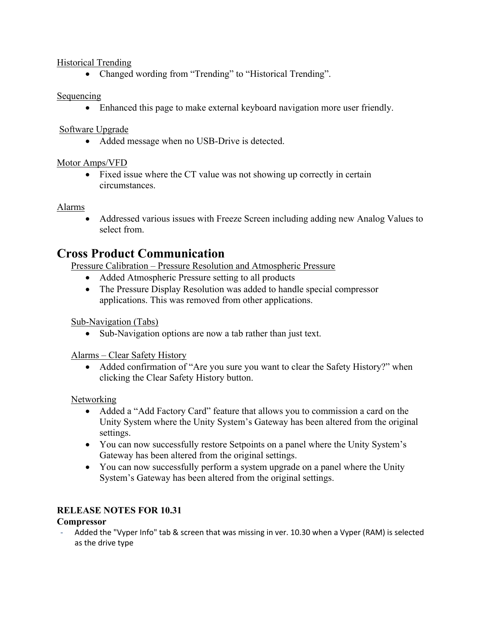### Historical Trending

• Changed wording from "Trending" to "Historical Trending".

#### Sequencing

• Enhanced this page to make external keyboard navigation more user friendly.

Software Upgrade

• Added message when no USB-Drive is detected.

### Motor Amps/VFD

• Fixed issue where the CT value was not showing up correctly in certain circumstances.

#### Alarms

• Addressed various issues with Freeze Screen including adding new Analog Values to select from.

# **Cross Product Communication**

Pressure Calibration – Pressure Resolution and Atmospheric Pressure

- Added Atmospheric Pressure setting to all products
- The Pressure Display Resolution was added to handle special compressor applications. This was removed from other applications.

Sub-Navigation (Tabs)

• Sub-Navigation options are now a tab rather than just text.

Alarms – Clear Safety History

• Added confirmation of "Are you sure you want to clear the Safety History?" when clicking the Clear Safety History button.

**Networking** 

- Added a "Add Factory Card" feature that allows you to commission a card on the Unity System where the Unity System's Gateway has been altered from the original settings.
- You can now successfully restore Setpoints on a panel where the Unity System's Gateway has been altered from the original settings.
- You can now successfully perform a system upgrade on a panel where the Unity System's Gateway has been altered from the original settings.

# **RELEASE NOTES FOR 10.31**

### **Compressor**

Added the "Vyper Info" tab & screen that was missing in ver. 10.30 when a Vyper (RAM) is selected as the drive type